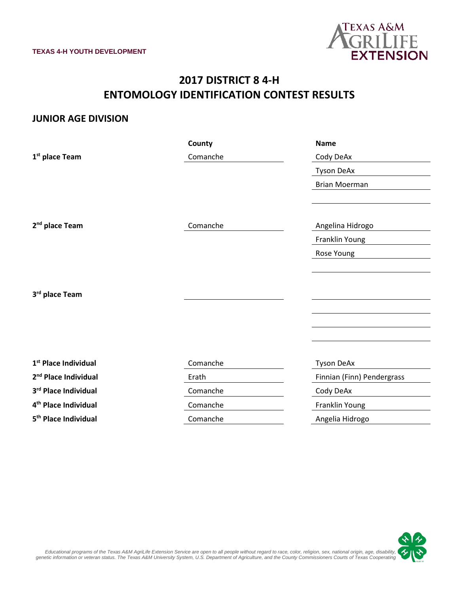

# **2017 DISTRICT 8 4-H ENTOMOLOGY IDENTIFICATION CONTEST RESULTS**

#### **JUNIOR AGE DIVISION**

|                                  | County   | <b>Name</b>                |
|----------------------------------|----------|----------------------------|
| 1 <sup>st</sup> place Team       | Comanche | Cody DeAx                  |
|                                  |          | <b>Tyson DeAx</b>          |
|                                  |          | <b>Brian Moerman</b>       |
|                                  |          |                            |
|                                  |          |                            |
| 2 <sup>nd</sup> place Team       | Comanche | Angelina Hidrogo           |
|                                  |          | Franklin Young             |
|                                  |          | Rose Young                 |
|                                  |          |                            |
|                                  |          |                            |
| 3rd place Team                   |          |                            |
|                                  |          |                            |
|                                  |          |                            |
|                                  |          |                            |
|                                  |          |                            |
| 1 <sup>st</sup> Place Individual | Comanche | <b>Tyson DeAx</b>          |
| 2 <sup>nd</sup> Place Individual | Erath    | Finnian (Finn) Pendergrass |
| 3rd Place Individual             | Comanche | Cody DeAx                  |
| 4 <sup>th</sup> Place Individual | Comanche | Franklin Young             |
| 5 <sup>th</sup> Place Individual | Comanche | Angelia Hidrogo            |

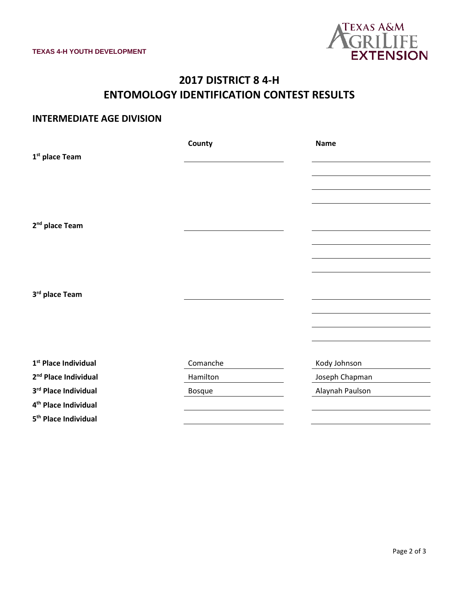

# **2017 DISTRICT 8 4-H ENTOMOLOGY IDENTIFICATION CONTEST RESULTS**

### **INTERMEDIATE AGE DIVISION**

|                                  | County        | <b>Name</b>     |
|----------------------------------|---------------|-----------------|
| 1 <sup>st</sup> place Team       |               |                 |
|                                  |               |                 |
|                                  |               |                 |
|                                  |               |                 |
|                                  |               |                 |
| 2 <sup>nd</sup> place Team       |               |                 |
|                                  |               |                 |
|                                  |               |                 |
|                                  |               |                 |
|                                  |               |                 |
| 3rd place Team                   |               |                 |
|                                  |               |                 |
|                                  |               |                 |
|                                  |               |                 |
|                                  |               |                 |
| 1 <sup>st</sup> Place Individual | Comanche      | Kody Johnson    |
| 2 <sup>nd</sup> Place Individual | Hamilton      | Joseph Chapman  |
| 3rd Place Individual             | <b>Bosque</b> | Alaynah Paulson |
| 4 <sup>th</sup> Place Individual |               |                 |
| 5 <sup>th</sup> Place Individual |               |                 |